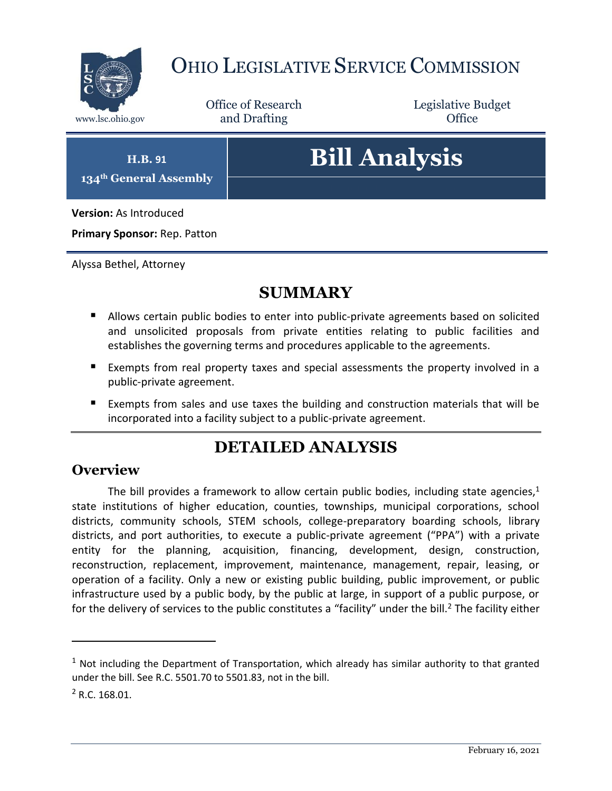

## OHIO LEGISLATIVE SERVICE COMMISSION

Office of Research www.lsc.ohio.gov **and Drafting Office** 

Legislative Budget

**H.B. 91**

**134th General Assembly**

# **Bill Analysis**

**Version:** As Introduced

**Primary Sponsor:** Rep. Patton

Alyssa Bethel, Attorney

## **SUMMARY**

- Allows certain public bodies to enter into public-private agreements based on solicited and unsolicited proposals from private entities relating to public facilities and establishes the governing terms and procedures applicable to the agreements.
- Exempts from real property taxes and special assessments the property involved in a public-private agreement.
- Exempts from sales and use taxes the building and construction materials that will be incorporated into a facility subject to a public-private agreement.

## **DETAILED ANALYSIS**

#### **Overview**

The bill provides a framework to allow certain public bodies, including state agencies, $1$ state institutions of higher education, counties, townships, municipal corporations, school districts, community schools, STEM schools, college-preparatory boarding schools, library districts, and port authorities, to execute a public-private agreement ("PPA") with a private entity for the planning, acquisition, financing, development, design, construction, reconstruction, replacement, improvement, maintenance, management, repair, leasing, or operation of a facility. Only a new or existing public building, public improvement, or public infrastructure used by a public body, by the public at large, in support of a public purpose, or for the delivery of services to the public constitutes a "facility" under the bill.<sup>2</sup> The facility either

 $1$  Not including the Department of Transportation, which already has similar authority to that granted under the bill. See R.C. 5501.70 to 5501.83, not in the bill.

<sup>2</sup> R.C. 168.01.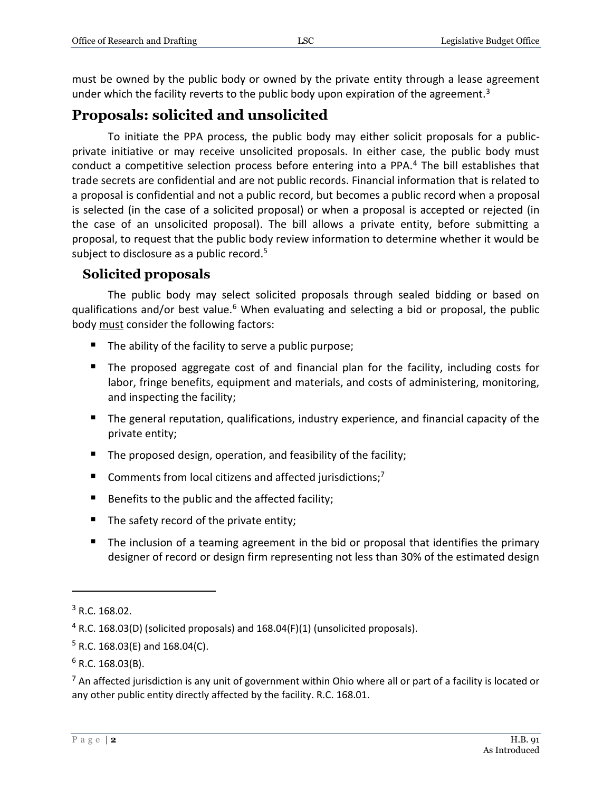must be owned by the public body or owned by the private entity through a lease agreement under which the facility reverts to the public body upon expiration of the agreement.<sup>3</sup>

#### **Proposals: solicited and unsolicited**

To initiate the PPA process, the public body may either solicit proposals for a publicprivate initiative or may receive unsolicited proposals. In either case, the public body must conduct a competitive selection process before entering into a PPA.<sup>4</sup> The bill establishes that trade secrets are confidential and are not public records. Financial information that is related to a proposal is confidential and not a public record, but becomes a public record when a proposal is selected (in the case of a solicited proposal) or when a proposal is accepted or rejected (in the case of an unsolicited proposal). The bill allows a private entity, before submitting a proposal, to request that the public body review information to determine whether it would be subject to disclosure as a public record.<sup>5</sup>

#### **Solicited proposals**

The public body may select solicited proposals through sealed bidding or based on qualifications and/or best value.<sup>6</sup> When evaluating and selecting a bid or proposal, the public body must consider the following factors:

- The ability of the facility to serve a public purpose;
- The proposed aggregate cost of and financial plan for the facility, including costs for labor, fringe benefits, equipment and materials, and costs of administering, monitoring, and inspecting the facility;
- The general reputation, qualifications, industry experience, and financial capacity of the private entity;
- The proposed design, operation, and feasibility of the facility;
- Comments from local citizens and affected jurisdictions;<sup>7</sup>
- Benefits to the public and the affected facility;
- $\blacksquare$  The safety record of the private entity;
- The inclusion of a teaming agreement in the bid or proposal that identifies the primary designer of record or design firm representing not less than 30% of the estimated design

 $\overline{a}$ 

 $<sup>7</sup>$  An affected jurisdiction is any unit of government within Ohio where all or part of a facility is located or</sup> any other public entity directly affected by the facility. R.C. 168.01.

 $3$  R.C. 168.02.

 $4$  R.C. 168.03(D) (solicited proposals) and 168.04(F)(1) (unsolicited proposals).

 $5$  R.C. 168.03(E) and 168.04(C).

 $6$  R.C. 168.03(B).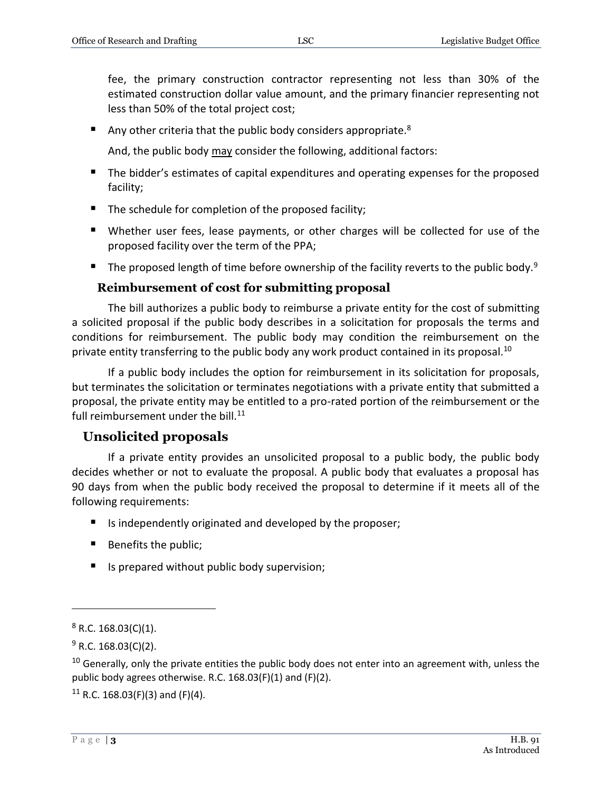fee, the primary construction contractor representing not less than 30% of the estimated construction dollar value amount, and the primary financier representing not less than 50% of the total project cost;

Any other criteria that the public body considers appropriate.<sup>8</sup>

And, the public body may consider the following, additional factors:

- The bidder's estimates of capital expenditures and operating expenses for the proposed facility;
- The schedule for completion of the proposed facility;
- Whether user fees, lease payments, or other charges will be collected for use of the proposed facility over the term of the PPA;
- The proposed length of time before ownership of the facility reverts to the public body.<sup>9</sup>

#### **Reimbursement of cost for submitting proposal**

The bill authorizes a public body to reimburse a private entity for the cost of submitting a solicited proposal if the public body describes in a solicitation for proposals the terms and conditions for reimbursement. The public body may condition the reimbursement on the private entity transferring to the public body any work product contained in its proposal.<sup>10</sup>

If a public body includes the option for reimbursement in its solicitation for proposals, but terminates the solicitation or terminates negotiations with a private entity that submitted a proposal, the private entity may be entitled to a pro-rated portion of the reimbursement or the full reimbursement under the bill.<sup>11</sup>

#### **Unsolicited proposals**

If a private entity provides an unsolicited proposal to a public body, the public body decides whether or not to evaluate the proposal. A public body that evaluates a proposal has 90 days from when the public body received the proposal to determine if it meets all of the following requirements:

- $\blacksquare$  Is independently originated and developed by the proposer;
- Benefits the public;
- $\blacksquare$  Is prepared without public body supervision;

 $8$  R.C. 168.03(C)(1).

 $9$  R.C. 168.03(C)(2).

 $10$  Generally, only the private entities the public body does not enter into an agreement with, unless the public body agrees otherwise. R.C. 168.03(F)(1) and (F)(2).

<sup>&</sup>lt;sup>11</sup> R.C. 168.03(F)(3) and (F)(4).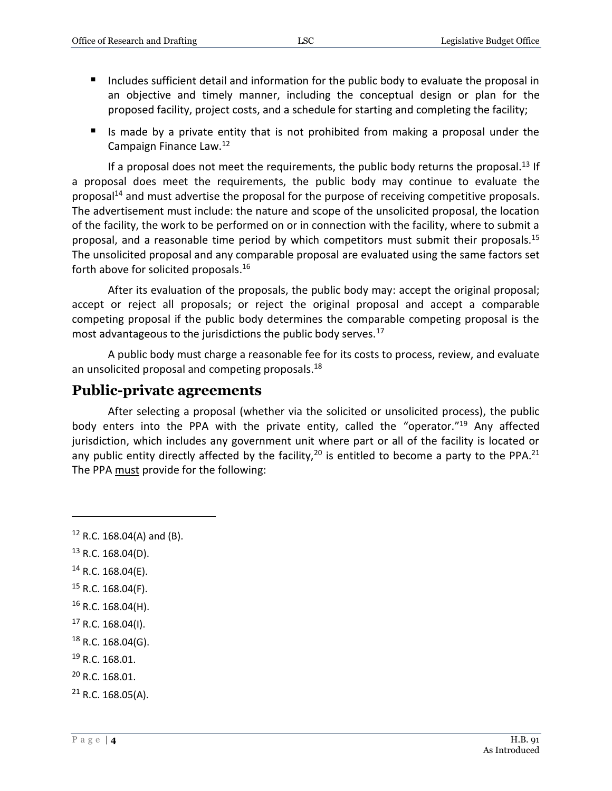- Includes sufficient detail and information for the public body to evaluate the proposal in an objective and timely manner, including the conceptual design or plan for the proposed facility, project costs, and a schedule for starting and completing the facility;
- If Is made by a private entity that is not prohibited from making a proposal under the Campaign Finance Law.<sup>12</sup>

If a proposal does not meet the requirements, the public body returns the proposal.<sup>13</sup> If a proposal does meet the requirements, the public body may continue to evaluate the proposal<sup>14</sup> and must advertise the proposal for the purpose of receiving competitive proposals. The advertisement must include: the nature and scope of the unsolicited proposal, the location of the facility, the work to be performed on or in connection with the facility, where to submit a proposal, and a reasonable time period by which competitors must submit their proposals.<sup>15</sup> The unsolicited proposal and any comparable proposal are evaluated using the same factors set forth above for solicited proposals.<sup>16</sup>

After its evaluation of the proposals, the public body may: accept the original proposal; accept or reject all proposals; or reject the original proposal and accept a comparable competing proposal if the public body determines the comparable competing proposal is the most advantageous to the jurisdictions the public body serves.<sup>17</sup>

A public body must charge a reasonable fee for its costs to process, review, and evaluate an unsolicited proposal and competing proposals.<sup>18</sup>

#### **Public-private agreements**

After selecting a proposal (whether via the solicited or unsolicited process), the public body enters into the PPA with the private entity, called the "operator."<sup>19</sup> Any affected jurisdiction, which includes any government unit where part or all of the facility is located or any public entity directly affected by the facility,  $20$  is entitled to become a party to the PPA.<sup>21</sup> The PPA must provide for the following:

 $13$  R.C. 168.04(D).

- $14$  R.C. 168.04(E).
- $15$  R.C. 168.04(F).
- <sup>16</sup> R.C. 168.04(H).
- $17$  R.C. 168.04(I).
- $18$  R.C. 168.04(G).
- <sup>19</sup> R.C. 168.01.
- <sup>20</sup> R.C. 168.01.
- $21$  R.C. 168.05(A).

 $12$  R.C. 168.04(A) and (B).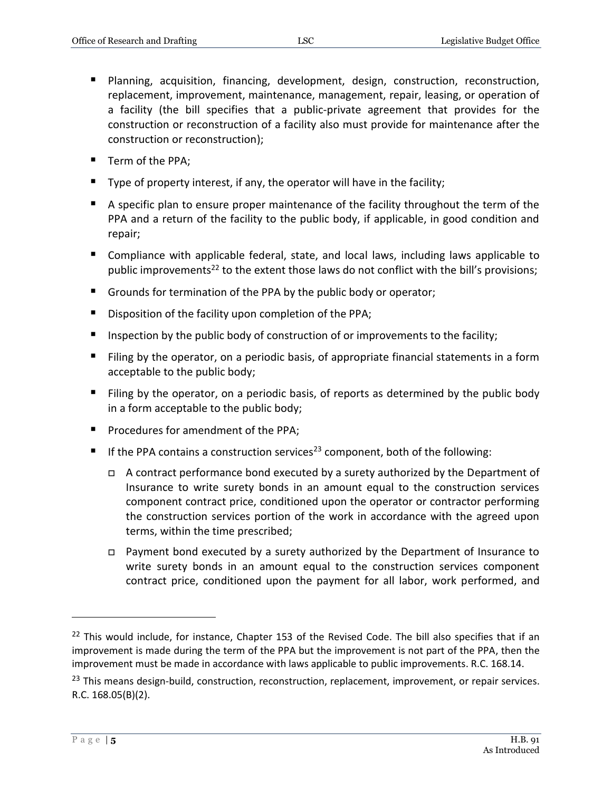- Planning, acquisition, financing, development, design, construction, reconstruction, replacement, improvement, maintenance, management, repair, leasing, or operation of a facility (the bill specifies that a public-private agreement that provides for the construction or reconstruction of a facility also must provide for maintenance after the construction or reconstruction);
- **Term of the PPA:**
- $\blacksquare$  Type of property interest, if any, the operator will have in the facility;
- A specific plan to ensure proper maintenance of the facility throughout the term of the PPA and a return of the facility to the public body, if applicable, in good condition and repair;
- Compliance with applicable federal, state, and local laws, including laws applicable to public improvements<sup>22</sup> to the extent those laws do not conflict with the bill's provisions;
- Grounds for termination of the PPA by the public body or operator;
- Disposition of the facility upon completion of the PPA;
- **Inspection by the public body of construction of or improvements to the facility;**
- Filing by the operator, on a periodic basis, of appropriate financial statements in a form acceptable to the public body;
- Filing by the operator, on a periodic basis, of reports as determined by the public body in a form acceptable to the public body;
- **Procedures for amendment of the PPA;**
- If the PPA contains a construction services<sup>23</sup> component, both of the following:
	- □ A contract performance bond executed by a surety authorized by the Department of Insurance to write surety bonds in an amount equal to the construction services component contract price, conditioned upon the operator or contractor performing the construction services portion of the work in accordance with the agreed upon terms, within the time prescribed;
	- Payment bond executed by a surety authorized by the Department of Insurance to write surety bonds in an amount equal to the construction services component contract price, conditioned upon the payment for all labor, work performed, and

<sup>&</sup>lt;sup>22</sup> This would include, for instance, Chapter 153 of the Revised Code. The bill also specifies that if an improvement is made during the term of the PPA but the improvement is not part of the PPA, then the improvement must be made in accordance with laws applicable to public improvements. R.C. 168.14.

<sup>&</sup>lt;sup>23</sup> This means design-build, construction, reconstruction, replacement, improvement, or repair services. R.C. 168.05(B)(2).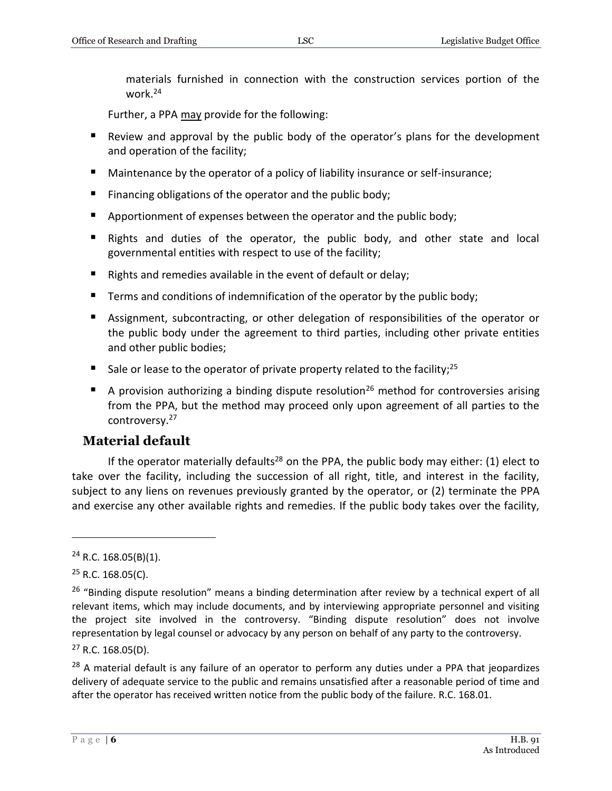materials furnished in connection with the construction services portion of the work.<sup>24</sup>

Further, a PPA may provide for the following:

- Review and approval by the public body of the operator's plans for the development and operation of the facility;
- Maintenance by the operator of a policy of liability insurance or self-insurance;
- Financing obligations of the operator and the public body;
- **Apportionment of expenses between the operator and the public body;**
- Rights and duties of the operator, the public body, and other state and local governmental entities with respect to use of the facility;
- Rights and remedies available in the event of default or delay;
- Terms and conditions of indemnification of the operator by the public body;
- Assignment, subcontracting, or other delegation of responsibilities of the operator or the public body under the agreement to third parties, including other private entities and other public bodies;
- Sale or lease to the operator of private property related to the facility;<sup>25</sup>
- A provision authorizing a binding dispute resolution<sup>26</sup> method for controversies arising from the PPA, but the method may proceed only upon agreement of all parties to the controversy.<sup>27</sup>

#### **Material default**

If the operator materially defaults<sup>28</sup> on the PPA, the public body may either: (1) elect to take over the facility, including the succession of all right, title, and interest in the facility, subject to any liens on revenues previously granted by the operator, or (2) terminate the PPA and exercise any other available rights and remedies. If the public body takes over the facility,

 $\overline{a}$ 

<sup>28</sup> A material default is any failure of an operator to perform any duties under a PPA that jeopardizes delivery of adequate service to the public and remains unsatisfied after a reasonable period of time and after the operator has received written notice from the public body of the failure. R.C. 168.01.

 $24$  R.C. 168.05(B)(1).

<sup>&</sup>lt;sup>25</sup> R.C. 168.05(C).

<sup>&</sup>lt;sup>26</sup> "Binding dispute resolution" means a binding determination after review by a technical expert of all relevant items, which may include documents, and by interviewing appropriate personnel and visiting the project site involved in the controversy. "Binding dispute resolution" does not involve representation by legal counsel or advocacy by any person on behalf of any party to the controversy.

 $27$  R.C. 168.05(D).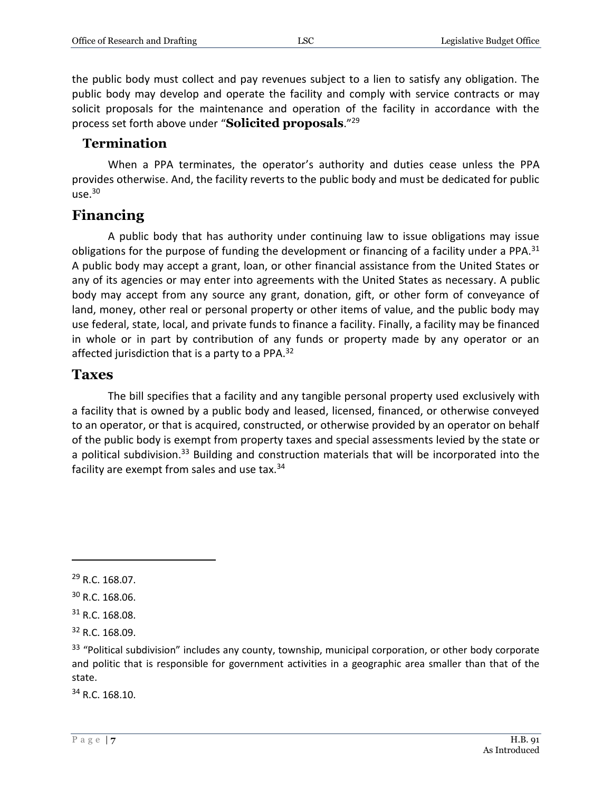the public body must collect and pay revenues subject to a lien to satisfy any obligation. The public body may develop and operate the facility and comply with service contracts or may solicit proposals for the maintenance and operation of the facility in accordance with the process set forth above under "**Solicited proposals**." 29

#### **Termination**

When a PPA terminates, the operator's authority and duties cease unless the PPA provides otherwise. And, the facility reverts to the public body and must be dedicated for public use.<sup>30</sup>

#### **Financing**

A public body that has authority under continuing law to issue obligations may issue obligations for the purpose of funding the development or financing of a facility under a PPA. $31$ A public body may accept a grant, loan, or other financial assistance from the United States or any of its agencies or may enter into agreements with the United States as necessary. A public body may accept from any source any grant, donation, gift, or other form of conveyance of land, money, other real or personal property or other items of value, and the public body may use federal, state, local, and private funds to finance a facility. Finally, a facility may be financed in whole or in part by contribution of any funds or property made by any operator or an affected jurisdiction that is a party to a PPA.<sup>32</sup>

#### **Taxes**

The bill specifies that a facility and any tangible personal property used exclusively with a facility that is owned by a public body and leased, licensed, financed, or otherwise conveyed to an operator, or that is acquired, constructed, or otherwise provided by an operator on behalf of the public body is exempt from property taxes and special assessments levied by the state or a political subdivision.<sup>33</sup> Building and construction materials that will be incorporated into the facility are exempt from sales and use tax.<sup>34</sup>

 $\overline{a}$ 

<sup>34</sup> R.C. 168.10.

<sup>29</sup> R.C. 168.07.

<sup>30</sup> R.C. 168.06.

 $31$  R.C. 168.08.

<sup>32</sup> R.C. 168.09.

<sup>&</sup>lt;sup>33</sup> "Political subdivision" includes any county, township, municipal corporation, or other body corporate and politic that is responsible for government activities in a geographic area smaller than that of the state.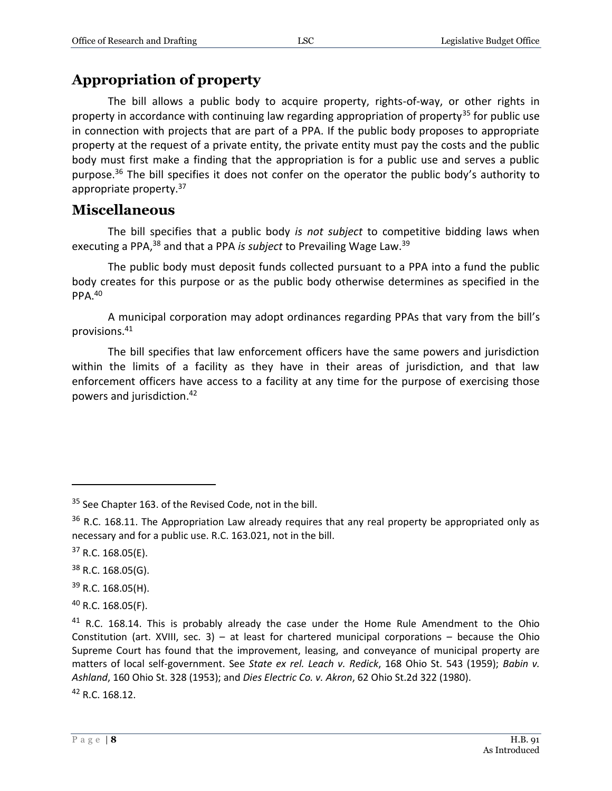#### **Appropriation of property**

The bill allows a public body to acquire property, rights-of-way, or other rights in property in accordance with continuing law regarding appropriation of property<sup>35</sup> for public use in connection with projects that are part of a PPA. If the public body proposes to appropriate property at the request of a private entity, the private entity must pay the costs and the public body must first make a finding that the appropriation is for a public use and serves a public purpose.<sup>36</sup> The bill specifies it does not confer on the operator the public body's authority to appropriate property.<sup>37</sup>

#### **Miscellaneous**

The bill specifies that a public body *is not subject* to competitive bidding laws when executing a PPA,<sup>38</sup> and that a PPA *is subject* to Prevailing Wage Law.<sup>39</sup>

The public body must deposit funds collected pursuant to a PPA into a fund the public body creates for this purpose or as the public body otherwise determines as specified in the PPA.<sup>40</sup>

A municipal corporation may adopt ordinances regarding PPAs that vary from the bill's provisions. 41

The bill specifies that law enforcement officers have the same powers and jurisdiction within the limits of a facility as they have in their areas of jurisdiction, and that law enforcement officers have access to a facility at any time for the purpose of exercising those powers and jurisdiction.<sup>42</sup>

 $\overline{a}$ 

<sup>38</sup> R.C. 168.05(G).

<sup>39</sup> R.C. 168.05(H).

 $40$  R.C. 168.05(F).

<sup>42</sup> R.C. 168.12.

<sup>&</sup>lt;sup>35</sup> See Chapter 163. of the Revised Code, not in the bill.

<sup>&</sup>lt;sup>36</sup> R.C. 168.11. The Appropriation Law already requires that any real property be appropriated only as necessary and for a public use. R.C. 163.021, not in the bill.

 $37$  R.C. 168.05(E).

 $41$  R.C. 168.14. This is probably already the case under the Home Rule Amendment to the Ohio Constitution (art. XVIII, sec. 3) – at least for chartered municipal corporations – because the Ohio Supreme Court has found that the improvement, leasing, and conveyance of municipal property are matters of local self-government. See *State ex rel. Leach v. Redick*, 168 Ohio St. 543 (1959); *Babin v. Ashland*, 160 Ohio St. 328 (1953); and *Dies Electric Co. v. Akron*, 62 Ohio St.2d 322 (1980).